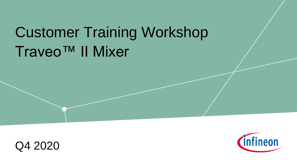# Traveo™ II Mixer Customer Training Workshop



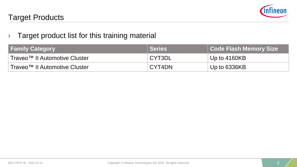

# Target Products

## $\rightarrow$  Target product list for this training material

| <b>Family Category</b>        | <b>Series</b> | Code Flash Memory Size |
|-------------------------------|---------------|------------------------|
| Traveo™ II Automotive Cluster | CYT3DL        | Up to $4160KB$         |
| Traveo™ II Automotive Cluster | CYT4DN        | Up to $6336KB$         |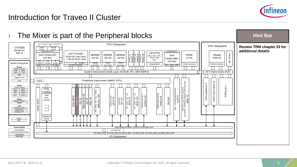

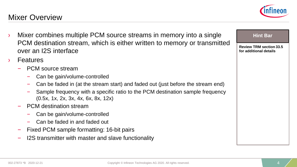# Mixer Overview

- Mixer combines multiple PCM source streams in memory into a single PCM destination stream, which is either written to memory or transmitted over an I2S interface
- **Features** 
	- PCM source stream
		- Can be gain/volume-controlled
		- Can be faded in (at the stream start) and faded out (just before the stream end)
		- Sample frequency with a specific ratio to the PCM destination sample frequency (0.5x, 1x, 2x, 3x, 4x, 6x, 8x, 12x)
	- PCM destination stream
		- Can be gain/volume-controlled
		- Can be faded in and faded out
	- Fixed PCM sample formatting: 16-bit pairs
	- I2S transmitter with master and slave functionality



**Review TRM section 33.5 for additional details**

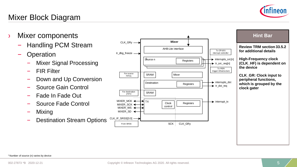

# Mixer Block Diagram

- › Mixer components
	- Handling PCM Stream
	- **Operation** 
		- Mixer Signal Processing
		- FIR Filter
		- Down and Up Conversion
		- Source Gain Control
		- Fade In Fade Out
		- Source Fade Control
		- Mixing
		- Destination Stream Options

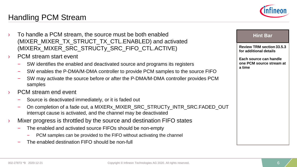# Handling PCM Stream

- To handle a PCM stream, the source must be both enabled (MIXER\_MIXER\_TX\_STRUCT\_TX\_CTL.ENABLED) and activated (MIXERx\_MIXER\_SRC\_STRUCTy\_SRC\_FIFO\_CTL.ACTIVE)
- PCM stream start event
	- SW identifies the enabled and deactivated source and programs its registers
	- SW enables the P-DMA/M-DMA controller to provide PCM samples to the source FIFO
	- SW may activate the source before or after the P-DMA/M-DMA controller provides PCM samples
- PCM stream end event
	- Source is deactivated immediately, or it is faded out
	- On completion of a fade out, a MIXERx\_MIXER\_SRC\_STRUCTy\_INTR\_SRC.FADED\_OUT interrupt cause is activated, and the channel may be deactivated
- Mixer progress is throttled by the source and destination FIFO states
	- The enabled and activated source FIFOs should be non-empty
		- PCM samples can be provided to the FIFO without activating the channel
	- The enabled destination FIFO should be non-full

**Review TRM section 33.5.3 for additional details**

**Each source can handle one PCM source stream at a time**

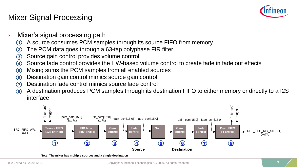

# Mixer Signal Processing

- Mixer's signal processing path
	- A source consumes PCM samples through its source FIFO from memory  $\bf(1)$
	- The PCM data goes through a 63-tap polyphase FIR filter  $\bf(2)$
	- Source gain control provides volume control 3
	- Source fade control provides the HW-based volume control to create fade in fade out effects  $\bf(4)$
	- Mixing sums the PCM samples from all enabled sources 5
	- Destination gain control mimics source gain control 6
	- Destination fade control mimics source fade control  $\left( \overline{7}\right)$
	- A destination produces PCM samples through its destination FIFO to either memory or directly to a I2S 8

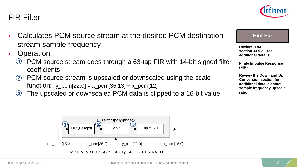#### Copyright © Infineon Technologies AG 2020. All rights reserved. 8

# Calculates PCM source stream at the desired PCM destination stream sample frequency

**Operation** 

<span id="page-7-0"></span>FIR Filter

- PCM source stream goes through a 63-tap FIR with 14-bit signed filter coefficients  $\bf{1}$
- PCM source stream is upscaled or downscaled using the scale function:  $y_{\text{perm}}[22:0] = x_{\text{perm}}[35:13] + x_{\text{perm}}[12]$  $<sup>2</sup>$ </sup>
- The upscaled or downscaled PCM data is clipped to a 16-bit value  $<sup>3</sup>$ </sup>





**Review TRM section 33.5.3.2 for additional details**

**Finite Impulse Response (FIR)**

**Review the Down and Up Conversion section for additional details about sample frequency upscale ratio** 

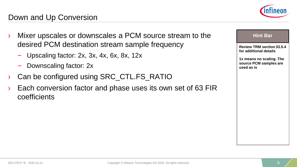coefficients

# Down and Up Conversion



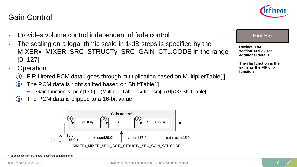#### <sup>1</sup>For destination, the PCM data is summed data (sum\_pcm)

#### Copyright © Infineon Technologies AG 2020. All rights reserved. 10

# <span id="page-9-0"></span>Gain Control

- Provides volume control independent of fade control
- The scaling on a logarithmic scale in 1-dB steps is specified by the MIXER<sub>x</sub> MIXER SRC STRUCT<sub>V</sub> SRC GAIN CTL.CODE in the range [0, 127]
- **Operation** 
	- FIR filtered PCM data1 goes through multiplication based on MultiplierTable[ ]  $(1)$
	- The PCM data is right shifted based on ShiftTable[ ]  $\mathbf{2}$ 
		- Gain function: y\_pcm[17:0] = (MultiplierTable[ ] x fir\_pcm[15:0]) >> ShiftTable[ ]
	- The PCM data is clipped to a 16-bit value  $\bf(3)$



#### **Hint Bar**

**Review TRM section 33.5.3.3 for additional details**

**The clip function is the same as the FIR clip function**

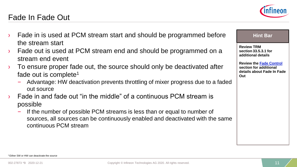# <span id="page-10-0"></span>Fade In Fade Out



- Fade out is used at PCM stream end and should be programmed on a stream end event
- To ensure proper fade out, the source should only be deactivated after fade out is complete<sup>1</sup>
	- Advantage: HW deactivation prevents throttling of mixer progress due to a faded out source
- Fade in and fade out "in the middle" of a continuous PCM stream is possible
	- If the number of possible PCM streams is less than or equal to number of sources, all sources can be continuously enabled and deactivated with the same continuous PCM stream



### **Hint Bar**

**Review TRM section 33.5.3.1 for additional details**

**Review the [Fade Control](#page-11-0)  section for additional details about Fade In Fade Out**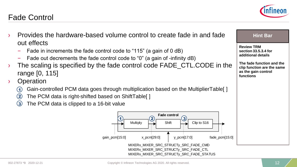#### Copyright © Infineon Technologies AG 2020. All rights reserved. 12 and 12 and 12 and 12 and 12 and 12 and 12 and 12 and 12 and 12 and 12 and 12 and 12 and 12 and 12 and 12 and 12 and 12 and 12 and 12 and 12 and 12 and 12 a

### › Provides the hardware-based volume control to create fade in and fade out effects **Review TRM**

- Fade in increments the fade control code to "115" (a gain of 0 dB)
- Fade out decrements the fade control code to "0" (a gain of -infinity dB)
- The scaling is specified by the fade control code FADE\_CTL.CODE in the range [0, 115]
- › Operation

<span id="page-11-0"></span>Fade Control

- Gain-controlled PCM data goes through multiplication based on the MultiplierTable[ ]  $\bf(1)$
- The PCM data is right-shifted based on ShiftTable[ ] 2
- The PCM data is clipped to a 16-bit value 3





**Hint Bar** 

**The fade function and the clip function are the same as the gain control** 

**section 33.5.3.4 for additional details**

**functions**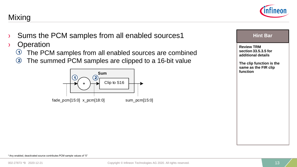#### <sup>1</sup>Any enabled, deactivated source contributes PCM sample values of "0"

## › Sums the PCM samples from all enabled sources1

› Operation

<span id="page-12-0"></span>Mixing

- The PCM samples from all enabled sources are combined  $\odot$
- The summed PCM samples are clipped to a 16-bit value  $<sup>2</sup>$ </sup>





**Hint Bar**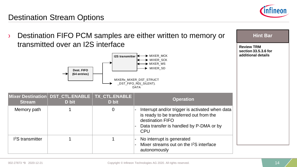

# <span id="page-13-0"></span>Destination Stream Options

Destination FIFO PCM samples are either written to memory or transmitted over an I2S interface **Dest. FIFO (64 entries)** MIXERx\_MIXER\_DST\_STRUCT \_DST\_FIFO\_RD(\_SILENT). DATA MIXER\_MCK MIXER\_SCK MIXER\_WS MIXER\_SD **I2S transmitter Mixer Destination Stream** DST\_CTL.ENABLE **D bit TX\_CTL.ENABLE D bit Operation** Memory path 1 1 1 0 - Interrupt and/or trigger is activated when data is ready to be transferred out from the destination FIFO Data transfer is handled by P-DMA or by CPU I<sup>2</sup>S transmitter 1 1 1 - No interrupt is generated Mixer streams out on the I<sup>2</sup>S interface autonomously **Hint Bar Review TRM section 33.5.3.6 for additional details**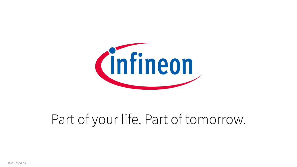

# Part of your life. Part of tomorrow.